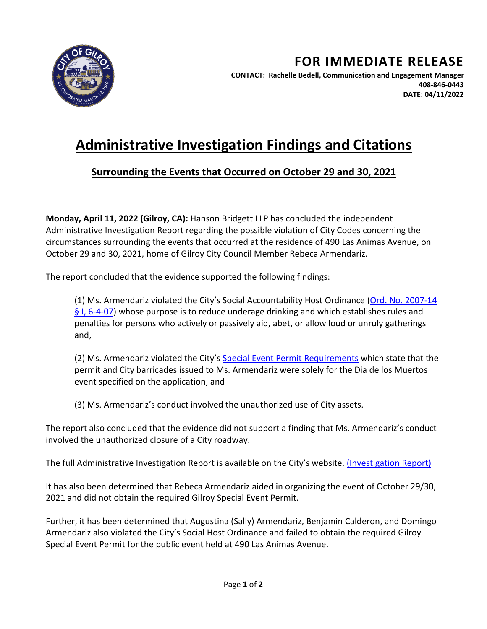

## **Administrative Investigation Findings and Citations**

## **Surrounding the Events that Occurred on October 29 and 30, 2021**

**Monday, April 11, 2022 (Gilroy, CA):** Hanson Bridgett LLP has concluded the independent Administrative Investigation Report regarding the possible violation of City Codes concerning the circumstances surrounding the events that occurred at the residence of 490 Las Animas Avenue, on October 29 and 30, 2021, home of Gilroy City Council Member Rebeca Armendariz.

The report concluded that the evidence supported the following findings:

(1) Ms. Armendariz violated the City's Social Accountability Host Ordinance [\(Ord. No. 2007-14](http://weblink.cityofgilroy.org/WebLink/DocView.aspx?id=526819&dbid=0&repo=RECORDS)  [§ I, 6-4-07\)](http://weblink.cityofgilroy.org/WebLink/DocView.aspx?id=526819&dbid=0&repo=RECORDS) whose purpose is to reduce underage drinking and which establishes rules and penalties for persons who actively or passively aid, abet, or allow loud or unruly gatherings and,

(2) Ms. Armendariz violated the City's [Special Event Permit Requirements](http://www.cityofgilroy.org/DocumentCenter/View/5961/Special-Event--Block-Party-Application) which state that the permit and City barricades issued to Ms. Armendariz were solely for the Dia de los Muertos event specified on the application, and

(3) Ms. Armendariz's conduct involved the unauthorized use of City assets.

The report also concluded that the evidence did not support a finding that Ms. Armendariz's conduct involved the unauthorized closure of a City roadway.

The full Administrative Investigation Report is available on the City's website. [\(Investigation Report\)](https://www.cityofgilroy.org/CivicAlerts.aspx?AID=782)

It has also been determined that Rebeca Armendariz aided in organizing the event of October 29/30, 2021 and did not obtain the required Gilroy Special Event Permit.

Further, it has been determined that Augustina (Sally) Armendariz, Benjamin Calderon, and Domingo Armendariz also violated the City's Social Host Ordinance and failed to obtain the required Gilroy Special Event Permit for the public event held at 490 Las Animas Avenue.